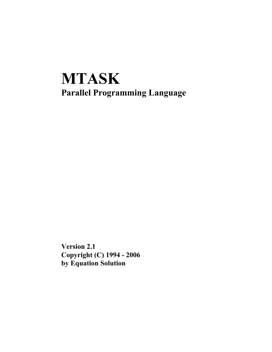# **MTASK Parallel Programming Language**

**Version 2.1 Copyright (C) 1994 - 2006 by Equation Solution**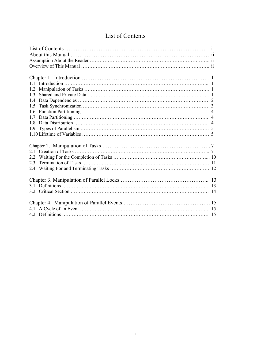|  |  | List of Contents |
|--|--|------------------|
|--|--|------------------|

| 11  |
|-----|
| 1.2 |
| 13  |
| 1.4 |
| 1.5 |
| 1.6 |
| 17  |
| 18  |
| 1.9 |
|     |
|     |
|     |
| 2.1 |
| 2.2 |
| 23  |
|     |
|     |
|     |
|     |
|     |
|     |
|     |
|     |
|     |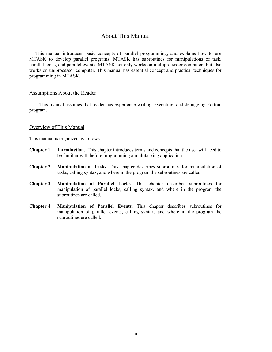# About This Manual

This manual introduces basic concepts of parallel programming, and explains how to use MTASK to develop parallel programs. MTASK has subroutines for manipulations of task, parallel locks, and parallel events. MTASK not only works on multiprocessor computers but also works on uniprocessor computer. This manual has essential concept and practical techniques for programming in MTASK.

#### Assumptions About the Reader

This manual assumes that reader has experience writing, executing, and debugging Fortran program.

## Overview of This Manual

This manual is organized as follows:

- **Chapter 1 Introduction**. This chapter introduces terms and concepts that the user will need to be familiar with before programming a multitasking application.
- **Chapter 2 Manipulation of Tasks**. This chapter describes subroutines for manipulation of tasks, calling syntax, and where in the program the subroutines are called.
- **Chapter 3 Manipulation of Parallel Locks**. This chapter describes subroutines for manipulation of parallel locks, calling syntax, and where in the program the subroutines are called.
- **Chapter 4 Manipulation of Parallel Events**. This chapter describes subroutines for manipulation of parallel events, calling syntax, and where in the program the subroutines are called.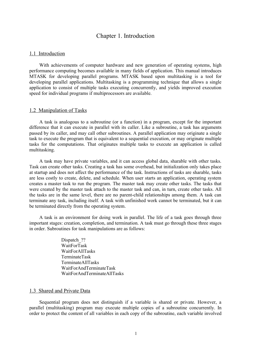# Chapter 1. Introduction

# 1.1 Introduction

With achievements of computer hardware and new generation of operating systems, high performance computing becomes available in many fields of application. This manual introduces MTASK for developing parallel programs. MTASK based upon multitasking is a tool for developing parallel applications. Multitasking is a programming technique that allows a single application to consist of multiple tasks executing concurrently, and yields improved execution speed for individual programs if multiprocessors are available.

#### 1.2 Manipulation of Tasks

A task is analogous to a subroutine (or a function) in a program, except for the important difference that it can execute in parallel with its caller. Like a subroutine, a task has arguments passed by its caller, and may call other subroutines. A parallel application may originate a single task to execute the program that is equivalent to a sequential execution, or may originate multiple tasks for the computations. That originates multiple tasks to execute an application is called multitasking.

A task may have private variables, and it can access global data, sharable with other tasks. Task can create other tasks. Creating a task has some overhead, but initialization only takes place at startup and does not affect the performance of the task. Instructions of tasks are sharable, tasks are less costly to create, delete, and schedule. When user starts an application, operating system creates a master task to run the program. The master task may create other tasks. The tasks that were created by the master task attach to the master task and can, in turn, create other tasks. All the tasks are in the same level, there are no parent-child relationships among them. A task can terminate any task, including itself. A task with unfinished work cannot be terminated, but it can be terminated directly from the operating system.

A task is an environment for doing work in parallel. The life of a task goes through three important stages: creation, completion, and termination. A task must go through these three stages in order. Subroutines for task manipulations are as follows:

> Dispatch ?? WaitForTask WaitForAllTasks TerminateTask TerminateAllTasks WaitForAndTerminateTask WaitForAndTerminateAllTasks

# 1.3 Shared and Private Data

Sequential program does not distinguish if a variable is shared or private. However, a parallel (multitasking) program may execute multiple copies of a subroutine concurrently. In order to protect the content of all variables in each copy of the subroutine, each variable involved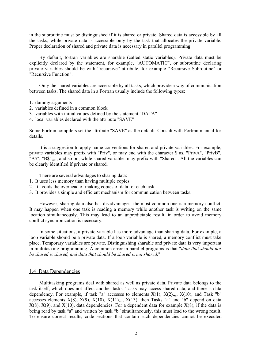in the subroutine must be distinguished if it is shared or private. Shared data is accessible by all the tasks; while private data is accessible only by the task that allocates the private variable. Proper declaration of shared and private data is necessary in parallel programming.

By default, fortran variables are sharable (called static variables). Private data must be explicitly declared by the statement, for example, "AUTOMATIC", or subroutine declaring private variables should be with "recursive" attribute, for example "Recursive Subroutine" or "Recursive Function".

Only the shared variables are accessible by all tasks, which provide a way of communication between tasks. The shared data in a Fortran usually include the following types:

- 1. dummy arguments
- 2. variables defined in a common block
- 3. variables with initial values defined by the statement "DATA"
- 4. local variables declared with the attribute "SAVE"

Some Fortran compilers set the attribute "SAVE" as the default. Consult with Fortran manual for details.

It is a suggestion to apply name conventions for shared and private variables. For example, private variables may prefix with "Priv", or may end with the character \$ as, "PrivA", "PrivB", "A\$", "B\$",,,,, and so on; while shared variables may prefix with "Shared". All the variables can be clearly identified if private or shared.

There are several advantages to sharing data:

- 1. It uses less memory than having multiple copies.
- 2. It avoids the overhead of making copies of data for each task.
- 3. It provides a simple and efficient mechanism for communication between tasks.

However, sharing data also has disadvantages: the most common one is a memory conflict. It may happen when one task is reading a memory while another task is writing on the same location simultaneously. This may lead to an unpredictable result, in order to avoid memory conflict synchronization is necessary.

In some situations, a private variable has more advantage than sharing data. For example, a loop variable should be a private data. If a loop variable is shared, a memory conflict must take place. Temporary variables are private. Distinguishing sharable and private data is very important in multitasking programming. A common error in parallel programs is that "*data that should not be shared is shared, and data that should be shared is not shared*."

# 1.4 Data Dependencies

Multitasking programs deal with shared as well as private data. Private data belongs to the task itself, which does not affect another tasks. Tasks may access shared data, and there is data dependency. For example, if task "a" accesses to elements  $X(1)$ ,  $X(2)$ ,,,,  $X(10)$ , and Task "b" accesses elements  $X(8)$ ,  $X(9)$ ,  $X(10)$ ,  $X(11)$ ,,,,  $X(13)$ , then Tasks "a" and "b" depend on data  $X(8)$ ,  $X(9)$ , and  $X(10)$ , data dependencies. For a dependent data for example  $X(8)$ , if the data is being read by task "a" and written by task "b" simultaneously, this must lead to the wrong result. To ensure correct results, code sections that contain such dependencies cannot be executed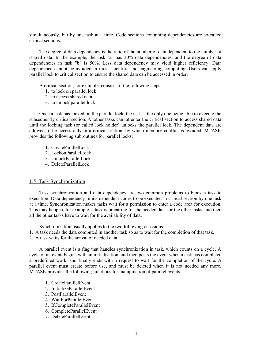simultaneously, but by one task at a time. Code sections containing dependencies are so-called critical sections.

The degree of data dependency is the ratio of the number of data dependent to the number of shared data. In the example, the task "a" has 30% data dependencies, and the degree of data dependencies in task "b" is 50%. Less data dependency may yield higher efficiency. Data dependence cannot be avoided in most scientific and engineering computing. Users can apply parallel lock to critical section to ensure the shared data can be accessed in order.

A critical section, for example, consists of the following steps:

- 1. to lock on parallel lock
- 2. to access shared data
- 3. to unlock parallel lock

Once a task has locked on the parallel lock, the task is the only one being able to execute the subsequently critical section. Another tasks cannot enter the critical section to access shared data until the locking task (or called lock holder) unlocks the parallel lock. The dependent data are allowed to be access only in a critical section, by which memory conflict is avoided. MTASK provides the following subroutines for parallel locks:

- 1. CreateParallelLock
- 2. LockonParallelLock
- 3. UnlockParallelLock
- 4. DeleteParallelLock

## 1.5 Task Synchronization

Task synchronization and data dependency are two common problems to block a task to execution. Data dependency limits dependent codes to be executed in critical section by one task at a time. Synchronization makes tasks wait for a permission to enter a code area for execution. This may happen, for example, a task is preparing for the needed data for the other tasks, and then all the other tasks have to wait for the availability of data.

Synchronization usually applies to the two following occasions:

- 1. A task needs the data computed in another task so as to wait for the completion of that task.
- 2. A task waits for the arrival of needed data.

A parallel event is a flag that handles synchronization in task, which counts on a cycle. A cycle of an event begins with an initialization, and then posts the event when a task has completed a predefined work, and finally ends with a request to wait for the completion of the cycle. A parallel event must create before use, and must be deleted when it is not needed any more. MTASK provides the following functions for manipulation of parallel events:

- 1. CreateParallelEvent
- 2. InitializeParallelEvent
- 3. PostParallelEvent
- 4. WaitForParallelEvent
- 5. IfCompleteParallelEvent
- 6. CompleteParallelEvent
- 7. DeleteParallelEvent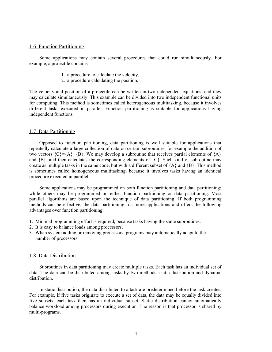## 1.6 Function Partitioning

Some applications may contain several procedures that could run simultaneously. For example, a projectile contains

- 1. a procedure to calculate the velocity,
- 2. a procedure calculating the position.

The velocity and position of a projectile can be written in two independent equations, and they may calculate simultaneously. This example can be divided into two independent functional units for computing. This method is sometimes called heterogeneous multitasking, because it involves different tasks executed in parallel. Function partitioning is suitable for applications having independent functions.

#### 1.7 Data Partitioning

Opposed to function partitioning, data partitioning is well suitable for applications that repeatedly calculate a large collection of data on certain subroutines, for example the addition of two vectors  ${C} = {A} + {B}$ . We may develop a subroutine that receives partial elements of  ${A}$ and  ${B}$ , and then calculates the corresponding elements of  ${C}$ . Such kind of subroutine may create as multiple tasks in the same code, but with a different subset of  ${A}$  and  ${B}$ . This method is sometimes called homogeneous multitasking, because it involves tasks having an identical procedure executed in parallel.

Some applications may be programmed on both function partitioning and data partitioning; while others may be programmed on either function partitioning or data partitioning. Most parallel algorithms are based upon the technique of data partitioning. If both programming methods can be effective, the data partitioning fits more applications and offers the following advantages over function partitioning:

- 1. Minimal programming effort is required, because tasks having the same subroutines.
- 2. It is easy to balance loads among processors.
- 3. When system adding or removing processors, programs may automatically adapt to the number of processors.

# 1.8 Data Distribution

Subroutines in data partitioning may create multiple tasks. Each task has an individual set of data. The data can be distributed among tasks by two methods: static distribution and dynamic distribution.

In static distribution, the data distributed to a task are predetermined before the task creates. For example, if five tasks originate to execute a set of data, the data may be equally divided into five subsets; each task then has an individual subset. Static distribution cannot automatically balance workload among processors during execution. The reason is that processor is shared by multi-programs.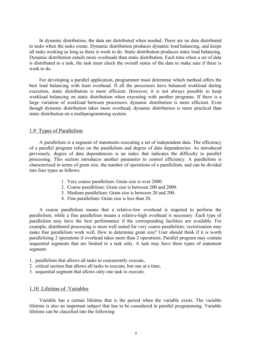In dynamic distribution, the data are distributed when needed. There are no data distributed to tasks when the tasks create. Dynamic distribution produces dynamic load balancing, and keeps all tasks working as long as there is work to do. Static distribution produces static load balancing. Dynamic distribution entails more overheads than static distribution. Each time when a set of data is distributed to a task, the task must check the overall status of the data to make sure if there is work to do.

For developing a parallel application, programmer must determine which method offers the best load balancing with least overhead. If all the processors have balanced workload during execution, static distribution is more efficient. However, it is not always possible to keep workload balancing on static distribution when executing with another programs. If there is a large variation of workload between processors, dynamic distribution is more efficient. Even though dynamic distribution takes more overhead, dynamic distribution is more practical than static distribution on a multiprogramming system.

## 1.9 Types of Parallelism

A parallelism is a segment of statements executing a set of independent data. The efficiency of a parallel program relies on the parallelism and degree of data dependencies. As introduced previously, degree of data dependencies is an index that indicates the difficulty to parallel processing. This section introduces another parameter to control efficiency. A parallelism is characterized in terms of grain size, the number of operations of a parallelism, and can be divided into four types as follows:

- 1. Very coarse parallelism: Grain size is over 2000.
- 2. Coarse parallelism: Grain size is between 200 and 2000.
- 3. Medium parallelism: Grain size is between 20 and 200.
- 4. Fine parallelism: Grain size is less than 20.

A coarse parallelism means that a relative-low overhead is required to perform the parallelism; while a fine parallelism means a relative-high overhead is necessary. Each type of parallelism may have the best performance if the corresponding facilities are available. For example, distributed processing is most well suited for very coarse parallelism; vectorization may make fine parallelism work well. How to determine grain size? User should think if it is worth parallelizing 2 operations if overhead takes more than 2 operations. Parallel program may contain sequential segments that are limited to a task only. A task may have three types of statement segment:

- 1. parallelism that allows all tasks to concurrently execute,
- 2. critical section that allows all tasks to execute, but one at a time,
- 3. sequential segment that allows only one task to execute.

# 1.10 Lifetime of Variables

Variable has a certain lifetime that is the period when the variable exists. The variable lifetime is also an important subject that has to be considered in parallel programming. Variable lifetime can be classified into the following: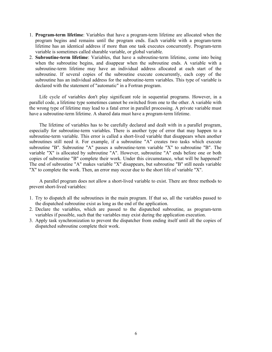- 1. **Program-term lifetime**: Variables that have a program-term lifetime are allocated when the program begins and remains until the program ends. Each variable with a program-term lifetime has an identical address if more than one task executes concurrently. Program-term variable is sometimes called sharable variable, or global variable.
- 2. **Subroutine-term lifetime**: Variables, that have a subroutine-term lifetime, come into being when the subroutine begins, and disappear when the subroutine ends. A variable with a subroutine-term lifetime may have an individual address allocated at each start of the subroutine. If several copies of the subroutine execute concurrently, each copy of the subroutine has an individual address for the subroutine-term variables. This type of variable is declared with the statement of "automatic" in a Fortran program.

Life cycle of variables don't play significant role in sequential programs. However, in a parallel code, a lifetime type sometimes cannot be switched from one to the other. A variable with the wrong type of lifetime may lead to a fatal error in parallel processing. A private variable must have a subroutine-term lifetime. A shared data must have a program-term lifetime.

The lifetime of variables has to be carefully declared and dealt with in a parallel program, especially for subroutine-term variables. There is another type of error that may happen to a subroutine-term variable. This error is called a short-lived variable that disappears when another subroutines still need it. For example, if a subroutine "A" creates two tasks which execute subroutine "B". Subroutine "A" passes a subroutine-term variable "X" to subroutine "B". The variable "X" is allocated by subroutine "A". However, subroutine "A" ends before one or both copies of subroutine "B" complete their work. Under this circumstance, what will be happened? The end of subroutine "A" makes variable "X" disappears, but subroutine "B" still needs variable "X" to complete the work. Then, an error may occur due to the short life of variable "X".

A parallel program does not allow a short-lived variable to exist. There are three methods to prevent short-lived variables:

- 1. Try to dispatch all the subroutines in the main program. If that so, all the variables passed to the dispatched subroutine exist as long as the end of the application.
- 2. Declare the variables, which are passed to the dispatched subroutine, as program-term variables if possible, such that the variables may exist during the application execution.
- 3. Apply task synchronization to prevent the dispatcher from ending itself until all the copies of dispatched subroutine complete their work.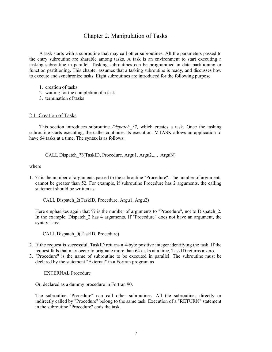# Chapter 2. Manipulation of Tasks

A task starts with a subroutine that may call other subroutines. All the parameters passed to the entry subroutine are sharable among tasks. A task is an environment to start executing a tasking subroutine in parallel. Tasking subroutines can be programmed in data partitioning or function partitioning. This chapter assumes that a tasking subroutine is ready, and discusses how to execute and synchronize tasks. Eight subroutines are introduced for the following purpose

- 1. creation of tasks
- 2. waiting for the completion of a task
- 3. termination of tasks

# 2.1 Creation of Tasks

This section introduces subroutine *Dispatch\_??,* which creates a task. Once the tasking subroutine starts executing, the caller continues its execution. MTASK allows an application to have 64 tasks at a time. The syntax is as follows:

CALL Dispatch ??(TaskID, Procedure, Argu1, Argu2,,,,, ArguN)

where

1. ?? is the number of arguments passed to the subroutine "Procedure". The number of arguments cannot be greater than 52. For example, if subroutine Procedure has 2 arguments, the calling statement should be written as

CALL Dispatch\_2(TaskID, Procedure, Argu1, Argu2)

Here emphasizes again that ?? is the number of arguments to "Procedure", not to Dispatch 2. In the example, Dispatch 2 has 4 arguments. If "Procedure" does not have an argument, the syntax is as:

CALL Dispatch\_0(TaskID, Procedure)

- 2. If the request is successful, TaskID returns a 4-byte positive integer identifying the task. If the request fails that may occur to originate more than 64 tasks at a time, TaskID returns a zero.
- 3. "Procedure" is the name of subroutine to be executed in parallel. The subroutine must be declared by the statement "External" in a Fortran program as

EXTERNAL Procedure

Or, declared as a dummy procedure in Fortran 90.

The subroutine "Procedure" can call other subroutines. All the subroutines directly or indirectly called by "Procedure" belong to the same task. Execution of a "RETURN" statement in the subroutine "Procedure" ends the task.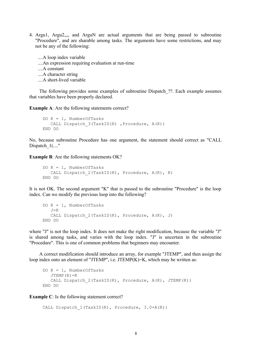4. Argu1, Argu2,,,, and ArguN are actual arguments that are being passed to subroutine "Procedure", and are sharable among tasks. The arguments have some restrictions, and may not be any of the following:

 ....A loop index variable ....An expression requiring evaluation at run-time ....A constant ....A character string ....A short-lived variable

The following provides some examples of subroutine Dispatch\_??. Each example assumes that variables have been properly declared.

**Example A**: Are the following statements correct?

```
DO K = 1. NumberOfTasks
 CALL Dispatch 3(TaskID(K) ,Procedure, A(K))
END DO
```
No, because subroutine Procedure has one argument, the statement should correct as "CALL Dispatch  $1(\dots$ "

**Example B**: Are the following statements OK?

```
DO K = 1, NumberOfTasks
 CALL Dispatch 2(TaskID(K), Procedure, A(K), K)
END DO
```
It is not OK. The second argument "K" that is passed to the subroutine "Procedure" is the loop index. Can we modify the previous loop into the following?

```
DO K = 1, NumberOfTasks
 J=KCALL Dispatch 2(TaskID(K), Procedure, A(K), J)
END DO
```
where "J" is not the loop index. It does not make the right modification, because the variable "J" is shared among tasks, and varies with the loop index. "J" is uncertain in the subroutine "Procedure". This is one of common problems that beginners may encounter.

A correct modification should introduce an array, for example "JTEMP", and then assign the loop index onto an element of "JTEMP", i.e. JTEMP(K)=K, which may be written as:

```
DO K = 1, NumberOfTasks
 JTEMP(K)=KCALL Dispatch 2(TaskID(K), Procedure, A(K), JTEMP(K))
END DO
```
**Example C**: Is the following statement correct?

```
CALL Dispatch 1(TaskID(K), Procedure, 3.0+A(K))
```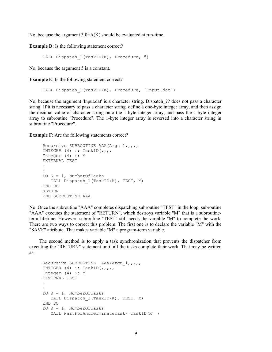No, because the argument  $3.0+A(K)$  should be evaluated at run-time.

**Example D**: Is the following statement correct?

CALL Dispatch 1(TaskID(K), Procedure, 5)

No, because the argument 5 is a constant.

**Example E**: Is the following statement correct?

CALL Dispatch 1(TaskID(K), Procedure, 'Input.dat')

No, because the argument 'Input.dat' is a character string. Dispatch\_?? does not pass a character string. If it is necessary to pass a character string, define a one-byte integer array, and then assign the decimal value of character string onto the 1-byte integer array, and pass the 1-byte integer array to subroutine "Procedure". The 1-byte integer array is reversed into a character string in subroutine "Procedure".

**Example F**: Are the following statements correct?

```
Recursive SUBROUTINE AAA (Argu 1,,,,,
    INTEGER (4) :: TaskID(,,,,
    Integer (4) :: M
    EXTERNAL TEST
:
:
    DO K = 1, NumberOfTasks
      CALL Dispatch 1(TaskID(K), TEST, M)
    END DO
    RETURN
     END SUBROUTINE AAA
```
No. Once the subroutine "AAA" completes dispatching subroutine "TEST" in the loop, subroutine "AAA" executes the statement of "RETURN", which destroys variable "M" that is a subroutineterm lifetime. However, subroutine "TEST" still needs the variable "M" to complete the work. There are two ways to correct this problem. The first one is to declare the variable "M" with the "SAVE" attribute. That makes variable "M" a program-term variable.

The second method is to apply a task synchronization that prevents the dispatcher from executing the "RETURN" statement until all the tasks complete their work. That may be written as:

```
Recursive SUBROUTINE AAA (Argu 1,,,,,
   INTEGER (4) :: TaskID(,,,,,
    Integer (4) :: M
    EXTERNAL TEST
:
:
   DO K = 1, NumberOfTasks
      CALL Dispatch 1(TaskID(K), TEST, M)
    END DO
   DO K = 1, NumberOfTasks
       CALL WaitForAndTerminateTask( TaskID(K) )
```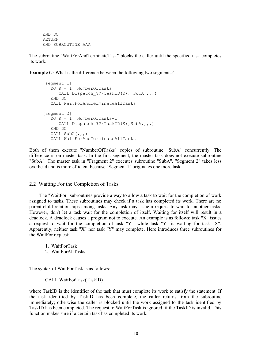END DO RETURN END SUBROUTINE AAA

The subroutine "WaitForAndTerminateTask" blocks the caller until the specified task completes its work.

**Example G**: What is the difference between the following two segments?

```
 [segment 1]
 DO K = 1, NumberOfTasks
    CALL Dispatch ??(TaskID(K), SubA,,,,)
  END DO
  CALL WaitForAndTerminateAllTasks
[segment 2]
 DO K = 1, NumberOfTasks-1
    CALL Dispatch ??(TaskID(K), SubA,,,,)
  END DO
 CALL SubA(,,,)
  CALL WaitForAndTerminateAllTasks
```
Both of them execute "NumberOfTasks" copies of subroutine "SubA" concurrently. The difference is on master task. In the first segment, the master task does not execute subroutine "SubA". The master task in "Fragment 2" executes subroutine "SubA". "Segment 2" takes less overhead and is more efficient because "Segment 1" originates one more task.

## 2.2 Waiting For the Completion of Tasks

The "WaitFor" subroutines provide a way to allow a task to wait for the completion of work assigned to tasks. These subroutines may check if a task has completed its work. There are no parent-child relationships among tasks. Any task may issue a request to wait for another tasks. However, don't let a task wait for the completion of itself. Waiting for itself will result in a deadlock. A deadlock causes a program not to execute. An example is as follows: task "X" issues a request to wait for the completion of task "Y", while task "Y" is waiting for task "X". Apparently, neither task "X" nor task "Y" may complete. Here introduces three subroutines for the WaitFor request:

- 1. WaitForTask
- 2. WaitForAllTasks.

The syntax of WaitForTask is as follows:

## CALL WaitForTask(TaskID)

where TaskID is the identifier of the task that must complete its work to satisfy the statement. If the task identified by TaskID has been complete, the caller returns from the subroutine immediately; otherwise the caller is blocked until the work assigned to the task identified by TaskID has been completed. The request to WaitForTask is ignored, if the TaskID is invalid. This function makes sure if a certain task has completed its work.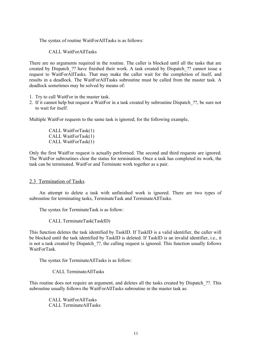The syntax of routine WaitForAllTasks is as follows:

CALL WaitForAllTasks

There are no arguments required in the routine. The caller is blocked until all the tasks that are created by Dispatch\_?? have finished their work. A task created by Dispatch\_?? cannot issue a request to WaitForAllTasks. That may make the caller wait for the completion of itself, and results in a deadlock. The WaitForAllTasks subroutine must be called from the master task. A deadlock sometimes may be solved by means of:

- 1. Try to call WaitFor in the master task.
- 2. If it cannot help but request a WaitFor in a task created by subroutine Dispatch\_??, be sure not to wait for itself.

Multiple WaitFor requests to the same task is ignored; for the following example,

 CALL WaitForTask(1) CALL WaitForTask(1) CALL WaitForTask(1)

Only the first WaitFor request is actually performed. The second and third requests are ignored. The WaitFor subroutines clear the status for termination. Once a task has completed its work, the task can be terminated. WaitFor and Terminate work together as a pair.

# 2.3 Termination of Tasks

An attempt to delete a task with unfinished work is ignored. There are two types of subroutine for terminating tasks, TerminateTask and TerminateAllTasks.

The syntax for TerminateTask is as follow:

CALL TerminateTask(TaskID)

This function deletes the task identified by TaskID. If TaskID is a valid identifier, the caller will be blocked until the task identified by TaskID is deleted. If TaskID is an invalid identifier, i.e., it is not a task created by Dispatch ??, the calling request is ignored. This function usually follows WaitForTask.

The syntax for TerminateAllTasks is as follow:

CALL TerminateAllTasks

This routine does not require an argument, and deletes all the tasks created by Dispatch\_??. This subroutine usually follows the WaitForAllTasks subroutine in the master task as:

> CALL WaitForAllTasks CALL TerminateAllTasks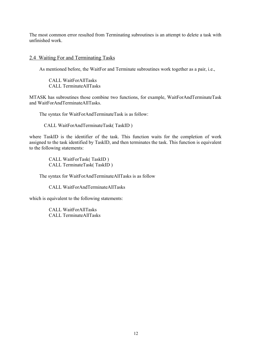The most common error resulted from Terminating subroutines is an attempt to delete a task with unfinished work.

# 2.4 Waiting For and Terminating Tasks

As mentioned before, the WaitFor and Terminate subroutines work together as a pair, i.e.,

 CALL WaitForAllTasks CALL TerminateAllTasks

MTASK has subroutines those combine two functions, for example, WaitForAndTerminateTask and WaitForAndTerminateAllTasks.

The syntax for WaitForAndTerminateTask is as follow:

CALL WaitForAndTerminateTask( TaskID )

where TaskID is the identifier of the task. This function waits for the completion of work assigned to the task identified by TaskID, and then terminates the task. This function is equivalent to the following statements:

> CALL WaitForTask( TaskID ) CALL TerminateTask( TaskID )

The syntax for WaitForAndTerminateAllTasks is as follow

CALL WaitForAndTerminateAllTasks

which is equivalent to the following statements:

 CALL WaitForAllTasks CALL TerminateAllTasks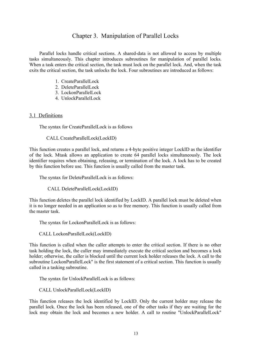# Chapter 3. Manipulation of Parallel Locks

Parallel locks handle critical sections. A shared-data is not allowed to access by multiple tasks simultaneously. This chapter introduces subroutines for manipulation of parallel locks. When a task enters the critical section, the task must lock on the parallel lock. And, when the task exits the critical section, the task unlocks the lock. Four subroutines are introduced as follows:

- 1. CreateParallelLock
- 2. DeleteParallelLock
- 3. LockonParallelLock
- 4. UnlockParallelLock

# 3.1 Definitions

The syntax for CreateParallelLock is as follows

CALL CreateParallelLock(LockID)

This function creates a parallel lock, and returns a 4-byte positive integer LockID as the identifier of the lock. Mtask allows an application to create 64 parallel locks simultaneously. The lock identifier requires when obtaining, releasing, or termination of the lock. A lock has to be created by this function before use. This function is usually called from the master task.

The syntax for DeleteParallelLock is as follows:

CALL DeleteParallelLock(LockID)

This function deletes the parallel lock identified by LockID. A parallel lock must be deleted when it is no longer needed in an application so as to free memory. This function is usually called from the master task.

The syntax for LockonParallelLock is as follows:

CALL LockonParallelLock(LockID)

This function is called when the caller attempts to enter the critical section. If there is no other task holding the lock, the caller may immediately execute the critical section and becomes a lock holder; otherwise, the caller is blocked until the current lock holder releases the lock. A call to the subroutine LockonParallelLock" is the first statement of a critical section. This function is usually called in a tasking subroutine.

The syntax for UnlockParallelLock is as follows:

CALL UnlockParallelLock(LockID)

This function releases the lock identified by LockID. Only the current holder may release the parallel lock. Once the lock has been released, one of the other tasks if they are waiting for the lock may obtain the lock and becomes a new holder. A call to routine "UnlockParallelLock"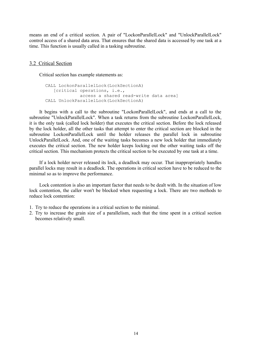means an end of a critical section. A pair of "LockonParallelLock" and "UnlockParallelLock" control access of a shared data area. That ensures that the shared data is accessed by one task at a time. This function is usually called in a tasking subroutine.

## 3.2 Critical Section

Critical section has example statements as:

```
 CALL LockonParallelLock(LockSectionA)
   [critical operations, i.e.,
             access a shared read-write data area]
CALL UnlockParallelLock(LockSectionA)
```
It begins with a call to the subroutine "LockonParallelLock", and ends at a call to the subroutine "UnlockParallelLock". When a task returns from the subroutine LockonParallelLock, it is the only task (called lock holder) that executes the critical section. Before the lock released by the lock holder, all the other tasks that attempt to enter the critical section are blocked in the subroutine LockonParallelLock until the holder releases the parallel lock in subroutine UnlockParallelLock. And, one of the waiting tasks becomes a new lock holder that immediately executes the critical section. The new holder keeps locking out the other waiting tasks off the critical section. This mechanism protects the critical section to be executed by one task at a time.

If a lock holder never released its lock, a deadlock may occur. That inappropriately handles parallel locks may result in a deadlock. The operations in critical section have to be reduced to the minimal so as to improve the performance.

Lock contention is also an important factor that needs to be dealt with. In the situation of low lock contention, the caller won't be blocked when requesting a lock. There are two methods to reduce lock contention:

- 1. Try to reduce the operations in a critical section to the minimal.
- 2. Try to increase the grain size of a parallelism, such that the time spent in a critical section becomes relatively small.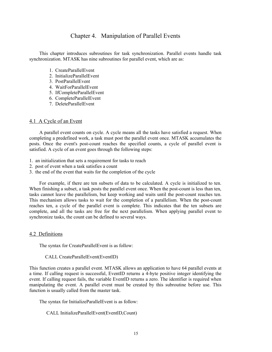# Chapter 4. Manipulation of Parallel Events

This chapter introduces subroutines for task synchronization. Parallel events handle task synchronization. MTASK has nine subroutines for parallel event, which are as:

- 1. CreateParallelEvent
- 2. InitializeParallelEvent
- 3. PostParallelEvent
- 4. WaitForParallelEvent
- 5. IfCompleteParallelEvent
- 6. CompleteParallelEvent
- 7. DeleteParallelEvent

# 4.1 A Cycle of an Event

A parallel event counts on cycle. A cycle means all the tasks have satisfied a request. When completing a predefined work, a task must post the parallel event once. MTASK accumulates the posts. Once the event's post-count reaches the specified counts, a cycle of parallel event is satisfied. A cycle of an event goes through the following steps:

- 1. an initialization that sets a requirement for tasks to reach
- 2. post of event when a task satisfies a count
- 3. the end of the event that waits for the completion of the cycle

For example, if there are ten subsets of data to be calculated. A cycle is initialized to ten. When finishing a subset, a task posts the parallel event once. When the post-count is less than ten, tasks cannot leave the parallelism, but keep working and waits until the post-count reaches ten. This mechanism allows tasks to wait for the completion of a parallelism. When the post-count reaches ten, a cycle of the parallel event is complete. This indicates that the ten subsets are complete, and all the tasks are free for the next parallelism. When applying parallel event to synchronize tasks, the count can be defined to several ways.

## 4.2 Definitions

The syntax for CreateParallelEvent is as follow:

CALL CreateParallelEvent(EventID)

This function creates a parallel event. MTASK allows an application to have 64 parallel events at a time. If calling request is successful, EventID returns a 4-byte positive integer identifying the event. If calling request fails, the variable EventID returns a zero. The identifier is required when manipulating the event. A parallel event must be created by this subroutine before use. This function is usually called from the master task.

The syntax for InitializeParallelEvent is as follow:

# CALL InitializeParallelEvent(EventID,Count)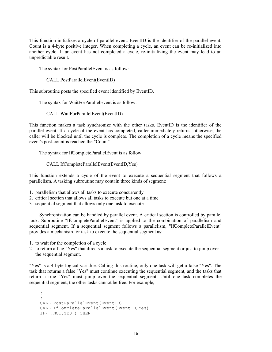This function initializes a cycle of parallel event. EventID is the identifier of the parallel event. Count is a 4-byte positive integer. When completing a cycle, an event can be re-initialized into another cycle. If an event has not completed a cycle, re-initializing the event may lead to an unpredictable result.

The syntax for PostParallelEvent is as follow:

CALL PostParallelEvent(EventID)

This subroutine posts the specified event identified by EventID.

The syntax for WaitForParallelEvent is as follow:

CALL WaitForParallelEvent(EventID)

This function makes a task synchronize with the other tasks. EventID is the identifier of the parallel event. If a cycle of the event has completed, caller immediately returns; otherwise, the caller will be blocked until the cycle is complete. The completion of a cycle means the specified event's post-count is reached the "Count".

The syntax for IfCompleteParallelEvent is as follow:

CALL IfCompleteParallelEvent(EventID,Yes)

This function extends a cycle of the event to execute a sequential segment that follows a parallelism. A tasking subroutine may contain three kinds of segment:

- 1. parallelism that allows all tasks to execute concurrently
- 2. critical section that allows all tasks to execute but one at a time
- 3. sequential segment that allows only one task to execute

Synchronization can be handled by parallel event. A critical section is controlled by parallel lock. Subroutine "IfCompleteParallelEvent" is applied to the combination of parallelism and sequential segment. If a sequential segment follows a parallelism, "IfCompleteParallelEvent" provides a mechanism for task to execute the sequential segment as:

- 1. to wait for the completion of a cycle
- 2. to return a flag "Yes" that directs a task to execute the sequential segment or just to jump over the sequential segment.

"Yes" is a 4-byte logical variable. Calling this routine, only one task will get a false "Yes". The task that returns a false "Yes" must continue executing the sequential segment, and the tasks that return a true "Yes" must jump over the sequential segment. Until one task completes the sequential segment, the other tasks cannot be free. For example,

 : : CALL PostParallelEvent(EventID) CALL IfCompleteParallelEvent(EventID,Yes) IF( .NOT.YES ) THEN